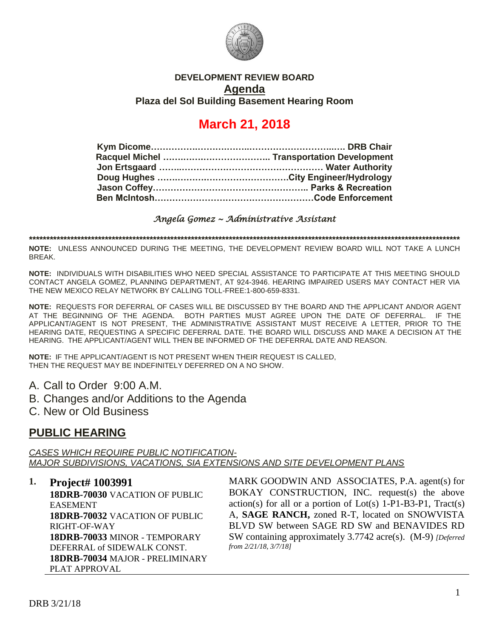

### **DEVELOPMENT REVIEW BOARD Agenda Plaza del Sol Building Basement Hearing Room**

# **March 21, 2018**

*Angela Gomez ~ Administrative Assistant* 

**\*\*\*\*\*\*\*\*\*\*\*\*\*\*\*\*\*\*\*\*\*\*\*\*\*\*\*\*\*\*\*\*\*\*\*\*\*\*\*\*\*\*\*\*\*\*\*\*\*\*\*\*\*\*\*\*\*\*\*\*\*\*\*\*\*\*\*\*\*\*\*\*\*\*\*\*\*\*\*\*\*\*\*\*\*\*\*\*\*\*\*\*\*\*\*\*\*\*\*\*\*\*\*\*\*\*\*\*\*\*\*\*\*\*\*\*\*\*\*\*\*\*\*\*\***

**NOTE:** UNLESS ANNOUNCED DURING THE MEETING, THE DEVELOPMENT REVIEW BOARD WILL NOT TAKE A LUNCH BREAK.

**NOTE:** INDIVIDUALS WITH DISABILITIES WHO NEED SPECIAL ASSISTANCE TO PARTICIPATE AT THIS MEETING SHOULD CONTACT ANGELA GOMEZ, PLANNING DEPARTMENT, AT 924-3946. HEARING IMPAIRED USERS MAY CONTACT HER VIA THE NEW MEXICO RELAY NETWORK BY CALLING TOLL-FREE:1-800-659-8331.

**NOTE:** REQUESTS FOR DEFERRAL OF CASES WILL BE DISCUSSED BY THE BOARD AND THE APPLICANT AND/OR AGENT AT THE BEGINNING OF THE AGENDA. BOTH PARTIES MUST AGREE UPON THE DATE OF DEFERRAL. IF THE APPLICANT/AGENT IS NOT PRESENT, THE ADMINISTRATIVE ASSISTANT MUST RECEIVE A LETTER, PRIOR TO THE HEARING DATE, REQUESTING A SPECIFIC DEFERRAL DATE. THE BOARD WILL DISCUSS AND MAKE A DECISION AT THE HEARING. THE APPLICANT/AGENT WILL THEN BE INFORMED OF THE DEFERRAL DATE AND REASON.

**NOTE:** IF THE APPLICANT/AGENT IS NOT PRESENT WHEN THEIR REQUEST IS CALLED, THEN THE REQUEST MAY BE INDEFINITELY DEFERRED ON A NO SHOW.

- A. Call to Order 9:00 A.M.
- B. Changes and/or Additions to the Agenda
- C. New or Old Business

# **PUBLIC HEARING**

*CASES WHICH REQUIRE PUBLIC NOTIFICATION-MAJOR SUBDIVISIONS, VACATIONS, SIA EXTENSIONS AND SITE DEVELOPMENT PLANS*

**1. Project# 1003991**

**18DRB-70030** VACATION OF PUBLIC EASEMENT **18DRB-70032** VACATION OF PUBLIC RIGHT-OF-WAY **18DRB-70033** MINOR - TEMPORARY DEFERRAL of SIDEWALK CONST. **18DRB-70034** MAJOR - PRELIMINARY PLAT APPROVAL

MARK GOODWIN AND ASSOCIATES, P.A. agent(s) for BOKAY CONSTRUCTION, INC. request(s) the above action(s) for all or a portion of  $Lot(s)$  1-P1-B3-P1, Tract(s) A, **SAGE RANCH,** zoned R-T, located on SNOWVISTA BLVD SW between SAGE RD SW and BENAVIDES RD SW containing approximately 3.7742 acre(s). (M-9) *[Deferred from 2/21/18, 3/7/18]*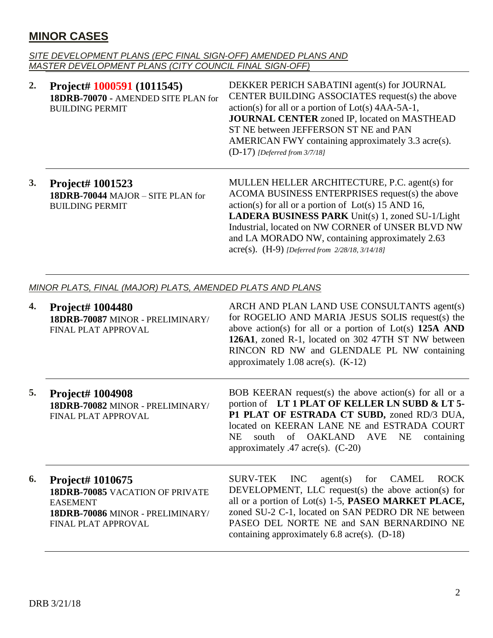# **MINOR CASES**

#### *SITE DEVELOPMENT PLANS (EPC FINAL SIGN-OFF) AMENDED PLANS AND MASTER DEVELOPMENT PLANS (CITY COUNCIL FINAL SIGN-OFF)*

| 2. | Project# 1000591 (1011545)<br>18DRB-70070 - AMENDED SITE PLAN for<br><b>BUILDING PERMIT</b> | DEKKER PERICH SABATINI agent(s) for JOURNAL<br>CENTER BUILDING ASSOCIATES request(s) the above<br>$action(s)$ for all or a portion of $Lot(s)$ 4AA-5A-1,<br><b>JOURNAL CENTER</b> zoned IP, located on MASTHEAD<br>ST NE between JEFFERSON ST NE and PAN<br>AMERICAN FWY containing approximately 3.3 acre(s).<br>$(D-17)$ [Deferred from 3/7/18]                                           |
|----|---------------------------------------------------------------------------------------------|---------------------------------------------------------------------------------------------------------------------------------------------------------------------------------------------------------------------------------------------------------------------------------------------------------------------------------------------------------------------------------------------|
| 3. | <b>Project# 1001523</b><br>18DRB-70044 MAJOR - SITE PLAN for<br><b>BUILDING PERMIT</b>      | MULLEN HELLER ARCHITECTURE, P.C. agent(s) for<br>ACOMA BUSINESS ENTERPRISES request(s) the above<br>$action(s)$ for all or a portion of $Lot(s)$ 15 AND 16,<br><b>LADERA BUSINESS PARK</b> Unit(s) 1, zoned SU-1/Light<br>Industrial, located on NW CORNER of UNSER BLVD NW<br>and LA MORADO NW, containing approximately 2.63<br>$\text{acre}(s)$ . (H-9) [Deferred from 2/28/18, 3/14/18] |
|    | MINOR PLATS, FINAL (MAJOR) PLATS, AMENDED PLATS AND PLANS                                   |                                                                                                                                                                                                                                                                                                                                                                                             |
|    | $\mathbf{R}$ $\mathbf{H}$ $\mathbf{H}$                                                      | A DOIL AND DLANT AND HEL CONSTITUTANTS $\ldots$                                                                                                                                                                                                                                                                                                                                             |

| 4. | Project# 1004480<br>18DRB-70087 MINOR - PRELIMINARY/<br>FINAL PLAT APPROVAL                                                              | ARCH AND PLAN LAND USE CONSULTANTS agent(s)<br>for ROGELIO AND MARIA JESUS SOLIS request(s) the<br>above action(s) for all or a portion of Lot(s) $125A$ AND<br>126A1, zoned R-1, located on 302 47TH ST NW between<br>RINCON RD NW and GLENDALE PL NW containing<br>approximately $1.08$ acre(s). $(K-12)$             |
|----|------------------------------------------------------------------------------------------------------------------------------------------|-------------------------------------------------------------------------------------------------------------------------------------------------------------------------------------------------------------------------------------------------------------------------------------------------------------------------|
| 5. | <b>Project# 1004908</b><br>18DRB-70082 MINOR - PRELIMINARY/<br>FINAL PLAT APPROVAL                                                       | BOB KEERAN request(s) the above action(s) for all or a<br>portion of LT1 PLAT OF KELLER LN SUBD & LT 5-<br>P1 PLAT OF ESTRADA CT SUBD, zoned RD/3 DUA,<br>located on KEERAN LANE NE and ESTRADA COURT<br>south of OAKLAND AVE NE<br>containing<br>NE.<br>approximately $.47$ acre(s). (C-20)                            |
| 6. | <b>Project# 1010675</b><br>18DRB-70085 VACATION OF PRIVATE<br><b>EASEMENT</b><br>18DRB-70086 MINOR - PRELIMINARY/<br>FINAL PLAT APPROVAL | SURV-TEK INC<br>$agent(s)$ for $CAMEL$<br><b>ROCK</b><br>DEVELOPMENT, LLC request(s) the above action(s) for<br>all or a portion of Lot(s) 1-5, PASEO MARKET PLACE,<br>zoned SU-2 C-1, located on SAN PEDRO DR NE between<br>PASEO DEL NORTE NE and SAN BERNARDINO NE<br>containing approximately $6.8$ acre(s). (D-18) |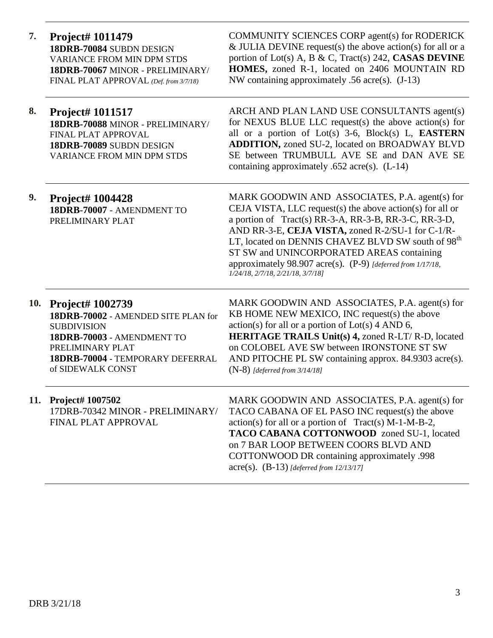**7. Project# 1011479 18DRB-70084** SUBDN DESIGN VARIANCE FROM MIN DPM STDS **18DRB-70067** MINOR - PRELIMINARY/ FINAL PLAT APPROVAL *(Def. from 3/7/18)*

COMMUNITY SCIENCES CORP agent(s) for RODERICK  $&$  JULIA DEVINE request(s) the above action(s) for all or a portion of Lot(s) A, B & C, Tract(s) 242, **CASAS DEVINE HOMES,** zoned R-1, located on 2406 MOUNTAIN RD NW containing approximately .56 acre(s). (J-13)

**8. Project# 1011517 18DRB-70088** MINOR - PRELIMINARY/ FINAL PLAT APPROVAL **18DRB-70089** SUBDN DESIGN VARIANCE FROM MIN DPM STDS

ARCH AND PLAN LAND USE CONSULTANTS agent(s) for NEXUS BLUE LLC request(s) the above action(s) for all or a portion of Lot(s) 3-6, Block(s) L, **EASTERN ADDITION,** zoned SU-2, located on BROADWAY BLVD SE between TRUMBULL AVE SE and DAN AVE SE containing approximately .652 acre(s). (L-14)

**9. Project# 1004428 18DRB-70007** - AMENDMENT TO PRELIMINARY PLAT

MARK GOODWIN AND ASSOCIATES, P.A. agent(s) for CEJA VISTA, LLC request(s) the above action(s) for all or a portion of Tract(s) RR-3-A, RR-3-B, RR-3-C, RR-3-D, AND RR-3-E, **CEJA VISTA,** zoned R-2/SU-1 for C-1/R-LT, located on DENNIS CHAVEZ BLVD SW south of 98<sup>th</sup> ST SW and UNINCORPORATED AREAS containing approximately 98.907 acre(s). (P-9) *[deferred from 1/17/18, 1/24/18, 2/7/18, 2/21/18, 3/7/18]*

**10. Project# 1002739 18DRB-70002** - AMENDED SITE PLAN for SUBDIVISION **18DRB-70003** - AMENDMENT TO PRELIMINARY PLAT **18DRB-70004** - TEMPORARY DEFERRAL of SIDEWALK CONST

MARK GOODWIN AND ASSOCIATES, P.A. agent(s) for KB HOME NEW MEXICO, INC request(s) the above  $action(s)$  for all or a portion of  $Lot(s)$  4 AND 6, **HERITAGE TRAILS Unit(s) 4,** zoned R-LT/ R-D, located on COLOBEL AVE SW between IRONSTONE ST SW AND PITOCHE PL SW containing approx. 84.9303 acre(s). (N-8) *[deferred from 3/14/18]*

**11. Project# 1007502** 17DRB-70342 MINOR - PRELIMINARY/ FINAL PLAT APPROVAL MARK GOODWIN AND ASSOCIATES, P.A. agent(s) for TACO CABANA OF EL PASO INC request(s) the above  $action(s)$  for all or a portion of Tract(s) M-1-M-B-2, **TACO CABANA COTTONWOOD** zoned SU-1, located on 7 BAR LOOP BETWEEN COORS BLVD AND COTTONWOOD DR containing approximately .998 acre(s). (B-13) *[deferred from 12/13/17]*